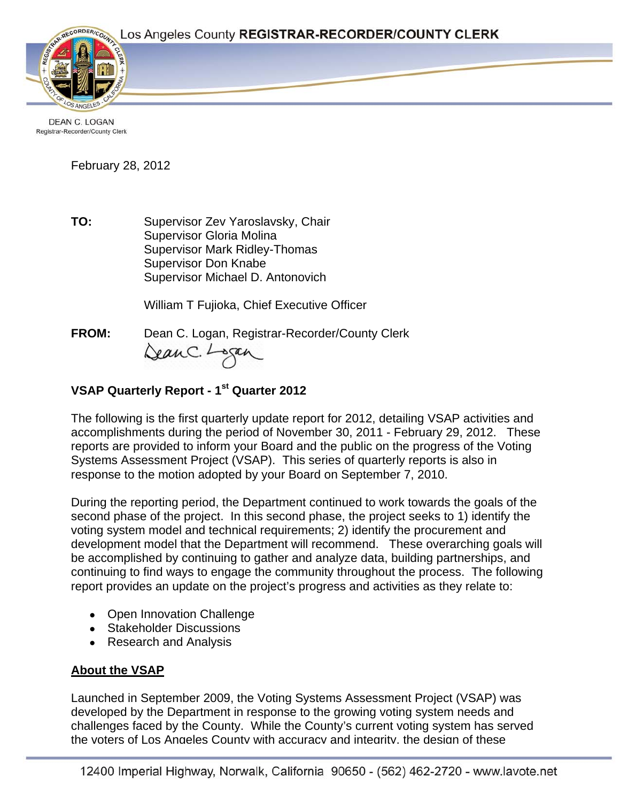Page 1



**DEAN C. LOGAN** Registrar-Recorder/County Clerk

February 28, 2012

**TO:** Supervisor Zev Yaroslavsky, Chair Supervisor Gloria Molina Supervisor Mark Ridley-Thomas Supervisor Don Knabe Supervisor Michael D. Antonovich

William T Fujioka, Chief Executive Officer

**FROM:** Dean C. Logan, Registrar-Recorder/County Clerk Dean C. Logan

# **VSAP Quarterly Report - 1st Quarter 2012**

The following is the first quarterly update report for 2012, detailing VSAP activities and accomplishments during the period of November 30, 2011 - February 29, 2012. These reports are provided to inform your Board and the public on the progress of the Voting Systems Assessment Project (VSAP). This series of quarterly reports is also in response to the motion adopted by your Board on September 7, 2010.

During the reporting period, the Department continued to work towards the goals of the second phase of the project. In this second phase, the project seeks to 1) identify the voting system model and technical requirements; 2) identify the procurement and development model that the Department will recommend. These overarching goals will be accomplished by continuing to gather and analyze data, building partnerships, and continuing to find ways to engage the community throughout the process. The following report provides an update on the project's progress and activities as they relate to:

- Open Innovation Challenge
- Stakeholder Discussions
- Research and Analysis

#### **About the VSAP**

Launched in September 2009, the Voting Systems Assessment Project (VSAP) was developed by the Department in response to the growing voting system needs and challenges faced by the County. While the County's current voting system has served the voters of Los Angeles County with accuracy and integrity, the design of these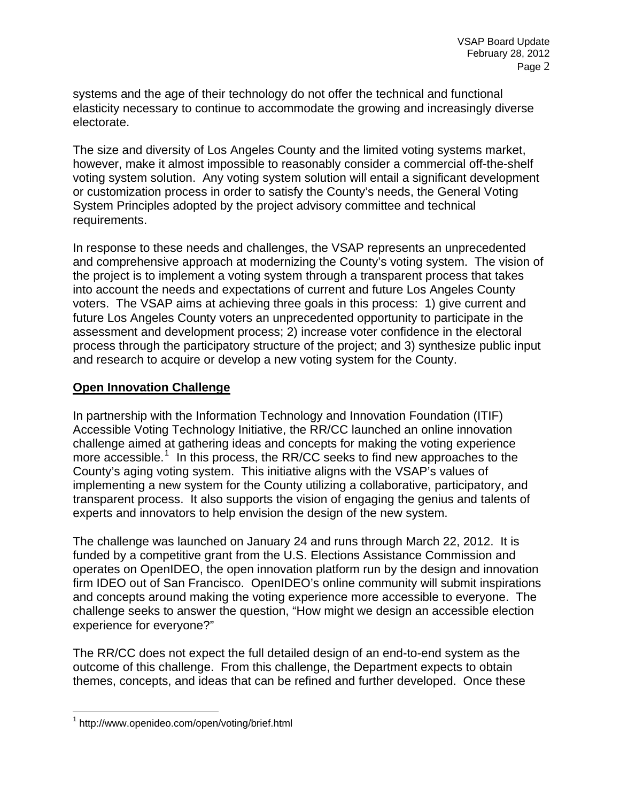systems and the age of their technology do not offer the technical and functional elasticity necessary to continue to accommodate the growing and increasingly diverse electorate.

The size and diversity of Los Angeles County and the limited voting systems market, however, make it almost impossible to reasonably consider a commercial off-the-shelf voting system solution. Any voting system solution will entail a significant development or customization process in order to satisfy the County's needs, the General Voting System Principles adopted by the project advisory committee and technical requirements.

In response to these needs and challenges, the VSAP represents an unprecedented and comprehensive approach at modernizing the County's voting system. The vision of the project is to implement a voting system through a transparent process that takes into account the needs and expectations of current and future Los Angeles County voters. The VSAP aims at achieving three goals in this process: 1) give current and future Los Angeles County voters an unprecedented opportunity to participate in the assessment and development process; 2) increase voter confidence in the electoral process through the participatory structure of the project; and 3) synthesize public input and research to acquire or develop a new voting system for the County.

#### **Open Innovation Challenge**

In partnership with the Information Technology and Innovation Foundation (ITIF) Accessible Voting Technology Initiative, the RR/CC launched an online innovation challenge aimed at gathering ideas and concepts for making the voting experience more accessible.<sup>[1](#page-1-0)</sup> In this process, the RR/CC seeks to find new approaches to the County's aging voting system. This initiative aligns with the VSAP's values of implementing a new system for the County utilizing a collaborative, participatory, and transparent process. It also supports the vision of engaging the genius and talents of experts and innovators to help envision the design of the new system.

The challenge was launched on January 24 and runs through March 22, 2012. It is funded by a competitive grant from the U.S. Elections Assistance Commission and operates on OpenIDEO, the open innovation platform run by the design and innovation firm IDEO out of San Francisco. OpenIDEO's online community will submit inspirations and concepts around making the voting experience more accessible to everyone. The challenge seeks to answer the question, "How might we design an accessible election experience for everyone?"

The RR/CC does not expect the full detailed design of an end-to-end system as the outcome of this challenge. From this challenge, the Department expects to obtain themes, concepts, and ideas that can be refined and further developed. Once these

 $\overline{a}$ 

<span id="page-1-0"></span><sup>1</sup> http://www.openideo.com/open/voting/brief.html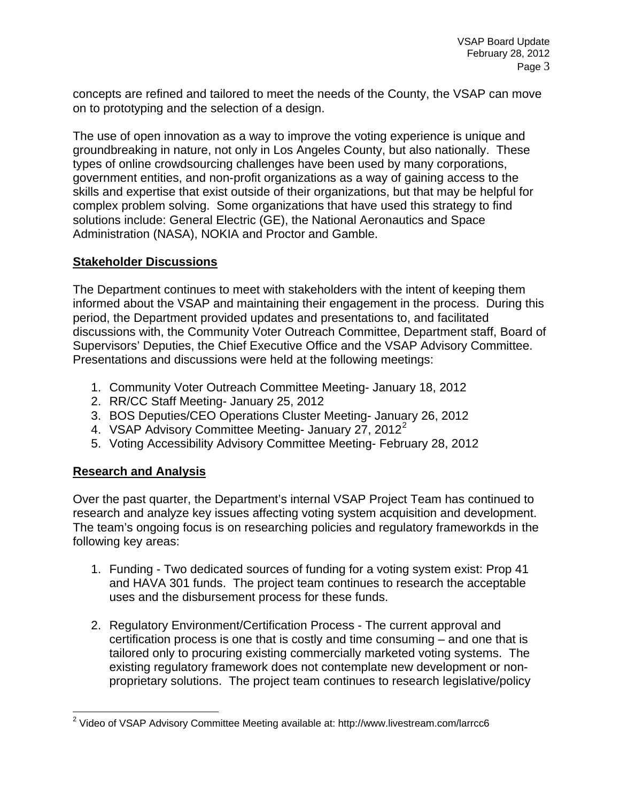concepts are refined and tailored to meet the needs of the County, the VSAP can move on to prototyping and the selection of a design.

The use of open innovation as a way to improve the voting experience is unique and groundbreaking in nature, not only in Los Angeles County, but also nationally. These types of online crowdsourcing challenges have been used by many corporations, government entities, and non-profit organizations as a way of gaining access to the skills and expertise that exist outside of their organizations, but that may be helpful for complex problem solving. Some organizations that have used this strategy to find solutions include: General Electric (GE), the National Aeronautics and Space Administration (NASA), NOKIA and Proctor and Gamble.

#### **Stakeholder Discussions**

The Department continues to meet with stakeholders with the intent of keeping them informed about the VSAP and maintaining their engagement in the process. During this period, the Department provided updates and presentations to, and facilitated discussions with, the Community Voter Outreach Committee, Department staff, Board of Supervisors' Deputies, the Chief Executive Office and the VSAP Advisory Committee. Presentations and discussions were held at the following meetings:

- 1. Community Voter Outreach Committee Meeting- January 18, 2012
- 2. RR/CC Staff Meeting- January 25, 2012
- 3. BOS Deputies/CEO Operations Cluster Meeting- January 26, 2012
- 4. VSAP Advisory Committee Meeting- January [2](#page-2-0)7, 2012 $^2$
- 5. Voting Accessibility Advisory Committee Meeting- February 28, 2012

## **Research and Analysis**

Over the past quarter, the Department's internal VSAP Project Team has continued to research and analyze key issues affecting voting system acquisition and development. The team's ongoing focus is on researching policies and regulatory frameworkds in the following key areas:

- 1. Funding Two dedicated sources of funding for a voting system exist: Prop 41 and HAVA 301 funds. The project team continues to research the acceptable uses and the disbursement process for these funds.
- 2. Regulatory Environment/Certification Process The current approval and certification process is one that is costly and time consuming – and one that is tailored only to procuring existing commercially marketed voting systems. The existing regulatory framework does not contemplate new development or nonproprietary solutions. The project team continues to research legislative/policy

<span id="page-2-0"></span> 2 Video of VSAP Advisory Committee Meeting available at: http://www.livestream.com/larrcc6